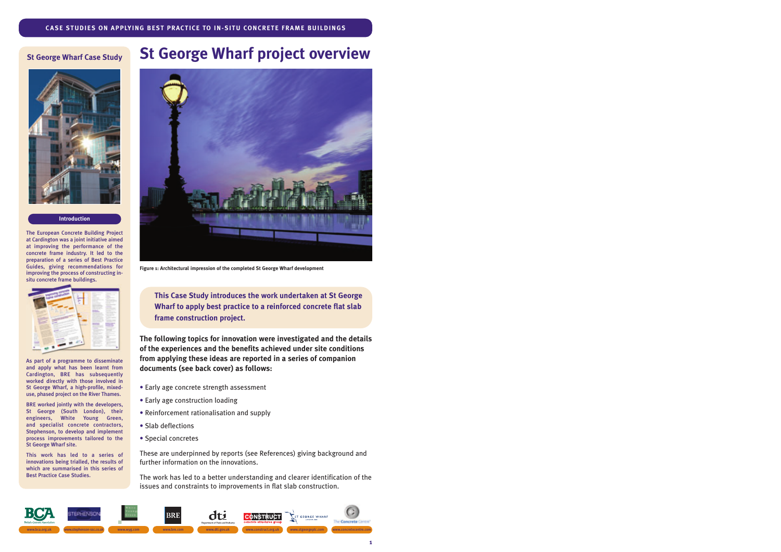## **St George Wharf Case Study**



#### **Introduction**

The European Concrete Building Project at Cardington was a joint initiative aimed at improving the performance of the concrete frame industry. It led to the preparation of a series of Best Practice Guides, giving recommendations for improving the process of constructing insitu concrete frame buildings.



As part of a programme to disseminate and apply what has been learnt from Cardington, BRE has subsequently worked directly with those involved in St George Wharf, a high-profile, mixeduse, phased project on the River Thames.

BRE worked jointly with the developers, St George (South London), their engineers, White Young Green, and specialist concrete contractors, Stephenson, to develop and implement process improvements tailored to the St George Wharf site.

This work has led to a series of innovations being trialled, the results of which are summarised in this series of Best Practice Case Studies.

# **St George Wharf project overview**



**Figure 1: Architectural impression of the completed St George Wharf development**

**This Case Study introduces the work undertaken at St George Wharf to apply best practice to a reinforced concrete flat slab frame construction project.**

**The following topics for innovation were investigated and the details of the experiences and the benefits achieved under site conditions from applying these ideas are reported in a series of companion documents (see back cover) as follows:** 

- Early age concrete strength assessment
- Early age construction loading
- Reinforcement rationalisation and supply
- Slab deflections
- Special concretes

These are underpinned by reports (see References) giving background and further information on the innovations.

The work has led to a better understanding and clearer identification of the issues and constraints to improvements in flat slab construction.

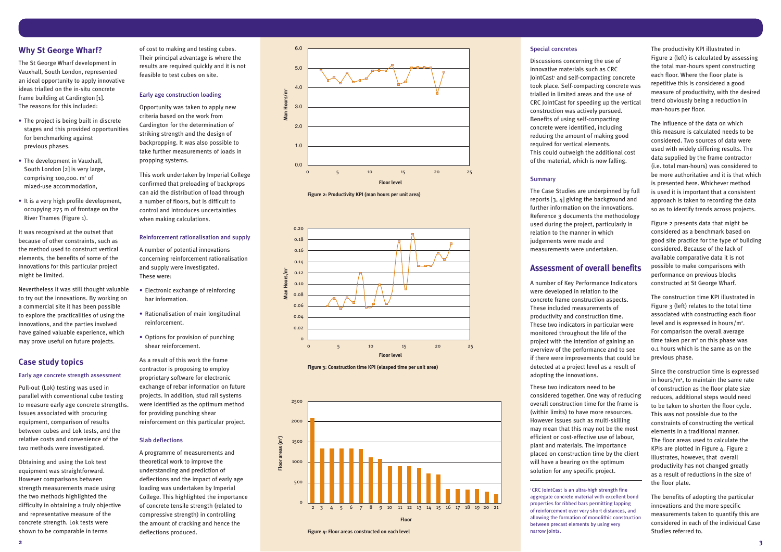# **Why St George Wharf?**

The St George Wharf development in Vauxhall, South London, represented an ideal opportunity to apply innovative ideas trialled on the in-situ concrete frame building at Cardington [1]. The reasons for this included:

- The project is being built in discrete stages and this provided opportunities for benchmarking against previous phases.
- The development in Vauxhall, South London [2] is very large, comprising 100,000.  $m<sup>2</sup>$  of mixed-use accommodation,
- It is a very high profile development, occupying 275 m of frontage on the River Thames (Figure 1).

It was recognised at the outset that because of other constraints, such as the method used to construct vertical elements, the benefits of some of the innovations for this particular project might be limited.

Nevertheless it was still thought valuable to try out the innovations. By working on a commercial site it has been possible to explore the practicalities of using the innovations, and the parties involved have gained valuable experience, which may prove useful on future projects.

# **Case study topics**

#### Early age concrete strength assessment

Pull-out (Lok) testing was used in parallel with conventional cube testing to measure early age concrete strengths. Issues associated with procuring equipment, comparison of results between cubes and Lok tests, and the relative costs and convenience of the two methods were investigated.

Obtaining and using the Lok test equipment was straightforward. However comparisons between strength measurements made using the two methods highlighted the difficulty in obtaining a truly objective and representative measure of the concrete strength. Lok tests were shown to be comparable in terms

of cost to making and testing cubes. Their principal advantage is where the results are required quickly and it is not feasible to test cubes on site.

#### Early age construction loading

Opportunity was taken to apply new criteria based on the work from Cardington for the determination of striking strength and the design of backpropping. It was also possible to take further measurements of loads in propping systems.

This work undertaken by Imperial College confirmed that preloading of backprops can aid the distribution of load through a number of floors, but is difficult to control and introduces uncertainties when making calculations.

#### Reinforcement rationalisation and supply

A number of potential innovations concerning reinforcement rationalisation and supply were investigated. These were:

- Electronic exchange of reinforcing bar information.
- Rationalisation of main longitudinal reinforcement.
- Options for provision of punching shear reinforcement.

<sup>1</sup> CRC JointCast is an ultra-high strength fine aggregate concrete material with excellent bond properties for ribbed bars permitting lapping of reinforcement over very short distances, and allowing the formation of monolithic construction between precast elements by using very narrow joints.

As a result of this work the frame contractor is proposing to employ proprietary software for electronic exchange of rebar information on future projects. In addition, stud rail systems were identified as the optimum method for providing punching shear reinforcement on this particular project.

#### Slab deflections

A programme of measurements and theoretical work to improve the understanding and prediction of deflections and the impact of early age loading was undertaken by Imperial College. This highlighted the importance of concrete tensile strength (related to compressive strength) in controlling the amount of cracking and hence the deflections produced.

#### Special concretes

Discussions concerning the use of innovative materials such as CRC JointCast<sup>1</sup> and self-compacting concrete took place. Self-compacting concrete was trialled in limited areas and the use of CRC JointCast for speeding up the vertical construction was actively pursued. Benefits of using self-compacting concrete were identified, including reducing the amount of making good required for vertical elements. This could outweigh the additional cost of the material, which is now falling.

#### **Summary**

The Case Studies are underpinned by full reports [3, 4] giving the background and further information on the innovations. Reference 3 documents the methodology used during the project, particularly in relation to the manner in which judgements were made and measurements were undertaken.

# **Assessment of overall benefits**

A number of Key Performance Indicators were developed in relation to the concrete frame construction aspects. These included measurements of productivity and construction time. These two indicators in particular were monitored throughout the life of the project with the intention of gaining an overview of the performance and to see if there were improvements that could be detected at a project level as a result of adopting the innovations.

These two indicators need to be considered together. One way of reducing overall construction time for the frame is (within limits) to have more resources. However issues such as multi-skilling may mean that this may not be the most efficient or cost-effective use of labour, plant and materials. The importance placed on construction time by the client will have a bearing on the optimum solution for any specific project.

The productivity KPI illustrated in Figure 2 (left) is calculated by assessing the total man-hours spent constructing each floor. Where the floor plate is repetitive this is considered a good measure of productivity, with the desired trend obviously being a reduction in man-hours per floor.

The influence of the data on which this measure is calculated needs to be considered. Two sources of data were used with widely differing results. The data supplied by the frame contractor (i.e. total man-hours) was considered to be more authoritative and it is that which is presented here. Whichever method is used it is important that a consistent approach is taken to recording the data so as to identify trends across projects.

Figure 2 presents data that might be considered as a benchmark based on good site practice for the type of building considered. Because of the lack of available comparative data it is not possible to make comparisons with performance on previous blocks constructed at St George Wharf.

The construction time KPI illustrated in Figure 3 (left) relates to the total time associated with constructing each floor level and is expressed in hours/ $m^2$ . For comparison the overall average time taken per  $m<sup>2</sup>$  on this phase was 0.1 hours which is the same as on the previous phase.

Since the construction time is expressed in hours/m $^{\circ}$ , to maintain the same rate of construction as the floor plate size reduces, additional steps would need to be taken to shorten the floor cycle. This was not possible due to the constraints of constructing the vertical elements in a traditional manner. The floor areas used to calculate the KPIs are plotted in Figure 4. Figure 2 illustrates, however, that overall productivity has not changed greatly as a result of reductions in the size of the floor plate.

The benefits of adopting the particular innovations and the more specific measurements taken to quantify this are considered in each of the individual Case Studies referred to.





**Figure 2: Productivity KPI (man hours per unit area)**



**Figure 3: Construction time KPI (elasped time per unit area)**

**Figure 4: Floor areas constructed on each level**